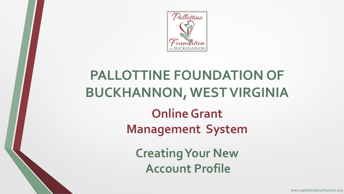

## **PALLOTTINE FOUNDATION OF BUCKHANNON, WEST VIRGINIA**

**Online Grant Management System** 

**Creating Your New Account Profile**

www.pallottinebuckhannon.org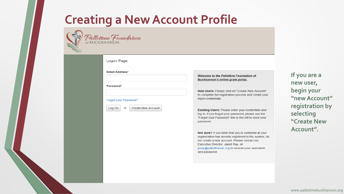

#### Logon Page

**Email Address\*** 

Password\*

#### Forgot your Password?

Create New Account or Log On

Welcome to the Pallottine Foundation of Buckhannon's online grant portal.

New Users: Please click on "Create New Account" to complete the registration process and create your logon credentials.

Existing Users: Please enter your credentials and log in. If you forgot your password, please use the "Forgot your Password" link to the left to reset your password.

Not Sure? If you think that you or someone at your organization has already registered in the system, do not create a new account. Please contact our Executive Director, Janell Ray, at jeray@pallottinesac.org to receive your username and password.

**If you are a new user, begin your "new Account" registration by selecting "Create New Account".**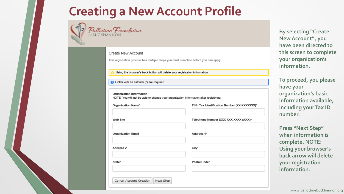

Pallottine Foundation<br>BUCKHANNON

#### Create New Account

This registration process has multiple steps you must complete before you can apply.

Using the browser's back button will delete your registration information.

Fields with an asterisk (\*) are required.

**Organization Information** NOTE: You will not be able to change your organization information after registering.

| Organization Name*                   | EIN / Tax Identification Number (XX-XXXXXXX)* |
|--------------------------------------|-----------------------------------------------|
| Web Site                             | Telephone Number (XXX-XXX-XXXX xXXX)*         |
| <b>Organization Email</b>            | Address 1*                                    |
| Address 2                            | City*                                         |
| State*                               | Postal Code*                                  |
| Cancel Account Creation<br>Next Step |                                               |

**By selecting "Create New Account", you have been directed to this screen to complete your organization's information.**

**To proceed, you please have your organization's basic information available, including your Tax ID number.**

**Press "Next Step" when information is complete. NOTE: Using your browser's back arrow will delete your registration information.**

www.pallottinebuckhannon.org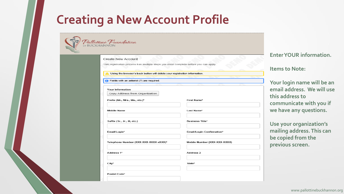| Create New Account                                                                  |                              | <b>Enter YOUR information.</b> |
|-------------------------------------------------------------------------------------|------------------------------|--------------------------------|
| This registration process has multiple steps you must complete before you can apply |                              |                                |
|                                                                                     |                              | <b>Items to Note:</b>          |
| Using the browser's back button will delete your registration information.          |                              |                                |
| Fields with an asterisk (*) are required.                                           |                              |                                |
|                                                                                     |                              | Your login name will be an     |
| Your Information                                                                    |                              | email address. We will use     |
| Copy Address from Organization                                                      |                              | this address to                |
| Prefix (Mr., Mrs., Ms., etc.)*                                                      | First Name*                  |                                |
|                                                                                     |                              | communicate with you if        |
| <b>Middle Name</b>                                                                  | Last Name*                   | we have any questions.         |
| Suffix (Sr., Jr., III, etc.)                                                        | <b>Business Title*</b>       | Use your organization's        |
| Email/Login*                                                                        | Email/Login Confirmation*    | mailing address. This can      |
|                                                                                     |                              | be copied from the             |
| Telephone Number (XXX-XXX-XXXX xXXX)*                                               | Mobile Number (XXX-XXX-XXXX) | previous screen.               |
| Address 1*                                                                          | Address 2                    |                                |
|                                                                                     |                              |                                |
| City*                                                                               | State*                       |                                |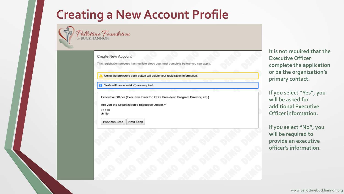Pallottine Foundation

|  |  | Create New Account |
|--|--|--------------------|
|--|--|--------------------|

This registration process has multiple steps you must complete before you can apply

Using the browser's back button will delete your registration information.

 $\bigcap$  Fields with an asterisk  $(*)$  are required.

Executive Officer (Executive Director, CEO, President, Program Director, etc.)

Are you the Organization's Executive Officer?\*

| . . |        |
|-----|--------|
|     | ______ |
|     |        |

Next Step Previous Step

**It is not required that the Executive Officer complete the application or be the organization's primary contact.** 

**If you select "Yes", you will be asked for additional Executive Officer information.**

**If you select "No", you will be required to provide an executive officer's information.**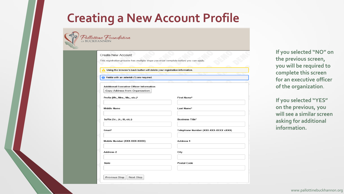| Create New Account                                                                   |                                      |
|--------------------------------------------------------------------------------------|--------------------------------------|
| This registration process has multiple steps you must complete before you can apply. |                                      |
| Using the browser's back button will delete your registration information.           |                                      |
| Fields with an asterisk (*) are required.                                            |                                      |
|                                                                                      |                                      |
| <b>Additional Executive Officer Information</b>                                      |                                      |
| Copy Address from Organization                                                       |                                      |
| Prefix (Mr., Mrs., Ms., etc.)*                                                       | First Name*                          |
|                                                                                      |                                      |
| <b>Middle Name</b>                                                                   | Last Name*                           |
|                                                                                      |                                      |
| Suffix (Sr., Jr., III, etc.)                                                         | <b>Business Title*</b>               |
|                                                                                      |                                      |
| Email*                                                                               | Telephone Number (XXX-XXX-XXXX xXXX) |
| Mobile Number (XXX-XXX-XXXX)                                                         | Address 1                            |
|                                                                                      |                                      |
| Address 2                                                                            | City                                 |
|                                                                                      |                                      |
| State                                                                                | Postal Code                          |

**If you selected "NO" on the previous screen, you will be required to complete this screen for an executive officer of the organization**.

**If you selected "YES" on the previous, you will see a similar screen asking for additional information.**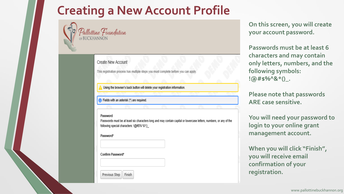

### Pallottine Foundation<br>EBUCKHANNON

#### **Create New Account**

This registration process has multiple steps you must complete before you can apply

Using the browser's back button will delete your registration information.

Fields with an asterisk (\*) are required.

#### Password

Passwords must be at least six characters long and may contain capital or lowercase letters, numbers, or any of the following special characters: !@#\$%^&\*()\_

Password\*

Confirm Password\*

Finish Previous Step

**On this screen, you will create your account password.**

**Passwords must be at least 6 characters and may contain only letters, numbers, and the following symbols: !@#\$%^&\*()\_.**

**Please note that passwords ARE case sensitive.**

**You will need your password to login to your online grant management account.**

**When you will click "Finish", you will receive email confirmation of your registration.**